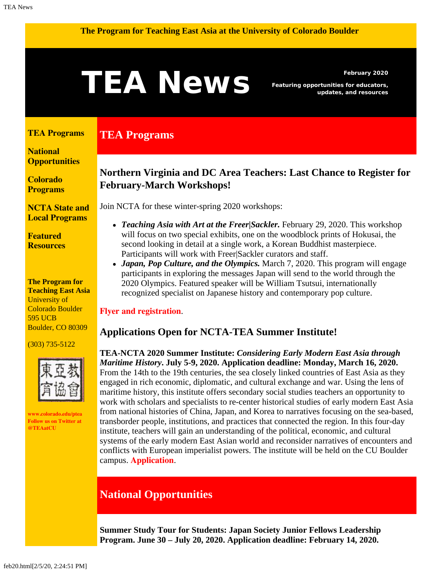#### <span id="page-0-1"></span>**The Program for Teaching East Asia at the University of Colorado Boulder**

# February 2020<br>**Featuring opportunities for educators,**<br>updates, and resources

**TEA Programs**

*Featuring opportunities for educators, updates, and resources*

#### <span id="page-0-0"></span>**[TEA Programs](#page-0-0)**

**[National](#page-0-1)  [Opportunities](#page-0-1)**

**[Colorado](#page-2-0) [Programs](#page-2-0)**

**[NCTA State and](#page-3-0) [Local Programs](#page-3-0)**

**[Featured](#page-3-1) [Resources](#page-3-1)**

#### **The Program for Teaching East Asia** University of Colorado Boulder 595 UCB Boulder, CO 80309

(303) 735-5122



**[www.colorado.edu/ptea](http://www.colorado.edu/cas/tea) Follow us on Twitter at [@TEAatCU](https://twitter.com/TEAatCU)**

## **Northern Virginia and DC Area Teachers: Last Chance to Register for February-March Workshops!**

Join NCTA for these winter-spring 2020 workshops:

- *Teaching Asia with Art at the Freer|Sackler.* February 29, 2020. This workshop will focus on two special exhibits, one on the woodblock prints of Hokusai, the second looking in detail at a single work, a Korean Buddhist masterpiece. Participants will work with Freer|Sackler curators and staff.
- *Japan, Pop Culture, and the Olympics.* March 7, 2020. This program will engage participants in exploring the messages Japan will send to the world through the 2020 Olympics. Featured speaker will be William Tsutsui, internationally recognized specialist on Japanese history and contemporary pop culture.

#### **[Flyer and registration](https://www.colorado.edu/ptea/sites/default/files/attached-files/nova_flyer_2019_2020.pdf)**.

#### **Applications Open for NCTA-TEA Summer Institute!**

**TEA-NCTA 2020 Summer Institute:** *Considering Early Modern East Asia through Maritime History***. July 5-9, 2020. Application deadline: Monday, March 16, 2020.** From the 14th to the 19th centuries, the sea closely linked countries of East Asia as they engaged in rich economic, diplomatic, and cultural exchange and war. Using the lens of maritime history, this institute offers secondary social studies teachers an opportunity to work with scholars and specialists to re-center historical studies of early modern East Asia from national histories of China, Japan, and Korea to narratives focusing on the sea-based, transborder people, institutions, and practices that connected the region. In this four-day institute, teachers will gain an understanding of the political, economic, and cultural systems of the early modern East Asian world and reconsider narratives of encounters and conflicts with European imperialist powers. The institute will be held on the CU Boulder campus. **[Application](https://www.colorado.edu/ptea/sites/default/files/attached-files/si2020appfillable.pdf)**.

# **National Opportunities**

**Summer Study Tour for Students: Japan Society Junior Fellows Leadership Program. June 30 – July 20, 2020. Application deadline: February 14, 2020.**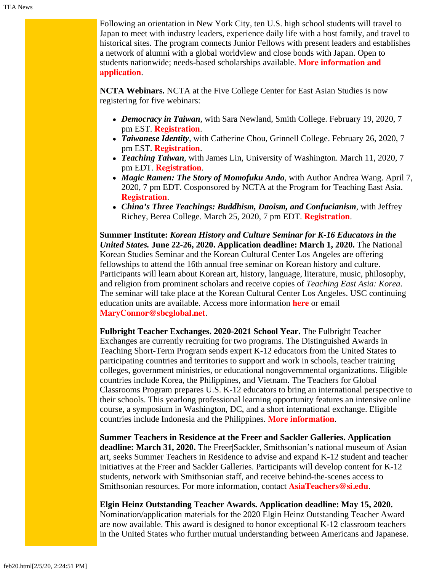Following an orientation in New York City, ten U.S. high school students will travel to Japan to meet with industry leaders, experience daily life with a host family, and travel to historical sites. The program connects Junior Fellows with present leaders and establishes a network of alumni with a global worldview and close bonds with Japan. Open to students nationwide; needs-based scholarships available. **[More information and](https://www.japansociety.org/page/programs/education/japan-society-junior-fellows-program) [application](https://www.japansociety.org/page/programs/education/japan-society-junior-fellows-program)**.

**NCTA Webinars.** NCTA at the Five College Center for East Asian Studies is now registering for five webinars:

- *Democracy in Taiwan*, with Sara Newland, Smith College. February 19, 2020, 7 pm EST. **[Registration](https://attendee.gotowebinar.com/register/107287449740087554)**.
- *Taiwanese Identity*, with Catherine Chou, Grinnell College. February 26, 2020, 7 pm EST. **[Registration](https://register.gotowebinar.com/register/821332291930394115)**.
- *Teaching Taiwan*, with James Lin, University of Washington. March 11, 2020, 7 pm EDT. **[Registration](https://attendee.gotowebinar.com/register/4325439564888608002)**.
- *Magic Ramen: The Story of Momofuku Ando*, with Author Andrea Wang. April 7, 2020, 7 pm EDT. Cosponsored by NCTA at the Program for Teaching East Asia. **[Registration](https://register.gotowebinar.com/register/8009244423049219595)**.
- *China's Three Teachings: Buddhism, Daoism, and Confucianism*, with Jeffrey Richey, Berea College. March 25, 2020, 7 pm EDT. **[Registration](https://attendee.gotowebinar.com/register/329441576040942603)**.

**Summer Institute:** *Korean History and Culture Seminar for K-16 Educators in the United States.* **June 22-26, 2020. Application deadline: March 1, 2020.** The National Korean Studies Seminar and the Korean Cultural Center Los Angeles are offering fellowships to attend the 16th annual free seminar on Korean history and culture. Participants will learn about Korean art, history, language, literature, music, philosophy, and religion from prominent scholars and receive copies of *Teaching East Asia: Korea*. The seminar will take place at the Korean Cultural Center Los Angeles. USC continuing education units are available. Access more information **[here](http://koreanseminar.org/register)** or email **[MaryConnor@sbcglobal.net](mailto:MaryConnor@sbcglobal.net)**.

**Fulbright Teacher Exchanges. 2020-2021 School Year.** The Fulbright Teacher Exchanges are currently recruiting for two programs. The Distinguished Awards in Teaching Short-Term Program sends expert K-12 educators from the United States to participating countries and territories to support and work in schools, teacher training colleges, government ministries, or educational nongovernmental organizations. Eligible countries include Korea, the Philippines, and Vietnam. The Teachers for Global Classrooms Program prepares U.S. K-12 educators to bring an international perspective to their schools. This yearlong professional learning opportunity features an intensive online course, a symposium in Washington, DC, and a short international exchange. Eligible countries include Indonesia and the Philippines. **[More information](https://www.fulbrightteacherexchanges.org/programs/#us)**.

**Summer Teachers in Residence at the Freer and Sackler Galleries. Application deadline: March 31, 2020.** The Freer|Sackler, Smithsonian's national museum of Asian art, seeks Summer Teachers in Residence to advise and expand K-12 student and teacher initiatives at the Freer and Sackler Galleries. Participants will develop content for K-12 students, network with Smithsonian staff, and receive behind-the-scenes access to Smithsonian resources. For more information, contact **[AsiaTeachers@si.edu](mailto:AsiaTeachers@si.edu)**.

**Elgin Heinz Outstanding Teacher Awards. Application deadline: May 15, 2020.** Nomination/application materials for the 2020 Elgin Heinz Outstanding Teacher Award are now available. This award is designed to honor exceptional K-12 classroom teachers in the United States who further mutual understanding between Americans and Japanese.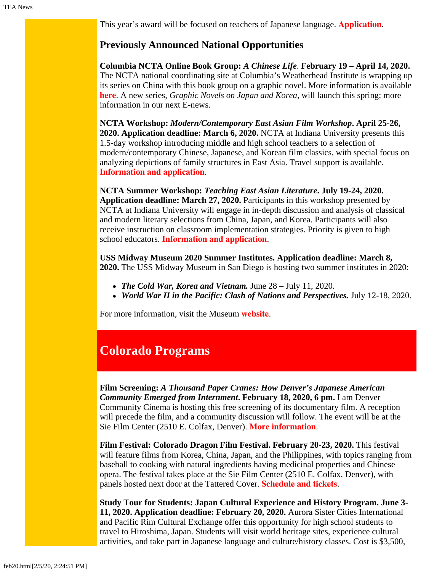This year's award will be focused on teachers of Japanese language. **[Application](https://www.engageasia.org/elgin-heinz-teacher-award)**.

### **Previously Announced National Opportunities**

**Columbia NCTA Online Book Group:** *A Chinese Life*. **February 19 – April 14, 2020.** The NCTA national coordinating site at Columbia's Weatherhead Institute is wrapping up its series on China with this book group on a graphic novel. More information is available **[here](http://afe.easia.columbia.edu/announcements/2019/BookGroupsFall19.html)**. A new series, *Graphic Novels on Japan and Korea,* will launch this spring; more information in our next E-news.

**NCTA Workshop:** *Modern/Contemporary East Asian Film Workshop***. April 25-26, 2020. Application deadline: March 6, 2020.** NCTA at Indiana University presents this 1.5-day workshop introducing middle and high school teachers to a selection of modern/contemporary Chinese, Japanese, and Korean film classics, with special focus on analyzing depictions of family structures in East Asia. Travel support is available. **[Information and application](https://easc.indiana.edu/programs/ncta-programs/ncta-enrichment-sijo-workshop.html)**.

**NCTA Summer Workshop:** *Teaching East Asian Literature***. July 19-24, 2020. Application deadline: March 27, 2020.** Participants in this workshop presented by NCTA at Indiana University will engage in in-depth discussion and analysis of classical and modern literary selections from China, Japan, and Korea. Participants will also receive instruction on classroom implementation strategies. Priority is given to high school educators. **[Information and application](https://easc.indiana.edu/programs/ncta-programs/ncta-summer-literature-workshop.html)**.

**USS Midway Museum 2020 Summer Institutes. Application deadline: March 8, 2020.** The USS Midway Museum in San Diego is hosting two summer institutes in 2020:

- *The Cold War, Korea and Vietnam.* June 28 July 11, 2020.
- *World War II in the Pacific: Clash of Nations and Perspectives.* July 12-18, 2020.

For more information, visit the Museum **[website](https://www.midway.org/education/teacher-programs/midway-institute-for-teachers/)**.

# <span id="page-2-0"></span>**Colorado Programs**

**Film Screening:** *A Thousand Paper Cranes: How Denver's Japanese American Community Emerged from Internment***. February 18, 2020, 6 pm.** I am Denver Community Cinema is hosting this free screening of its documentary film. A reception will precede the film, and a community discussion will follow. The event will be at the Sie Film Center (2510 E. Colfax, Denver). **[More information](https://www.eventbrite.com/e/i-am-denver-community-cinema-2020-tickets-91657198147)**.

**Film Festival: Colorado Dragon Film Festival. February 20-23, 2020.** This festival will feature films from Korea, China, Japan, and the Philippines, with topics ranging from baseball to cooking with natural ingredients having medicinal properties and Chinese opera. The festival takes place at the Sie Film Center (2510 E. Colfax, Denver), with panels hosted next door at the Tattered Cover. **[Schedule and tickets](http://www.cdfilm.org/)**.

**Study Tour for Students: Japan Cultural Experience and History Program. June 3- 11, 2020. Application deadline: February 20, 2020.** Aurora Sister Cities International and Pacific Rim Cultural Exchange offer this opportunity for high school students to travel to Hiroshima, Japan. Students will visit world heritage sites, experience cultural activities, and take part in Japanese language and culture/history classes. Cost is \$3,500,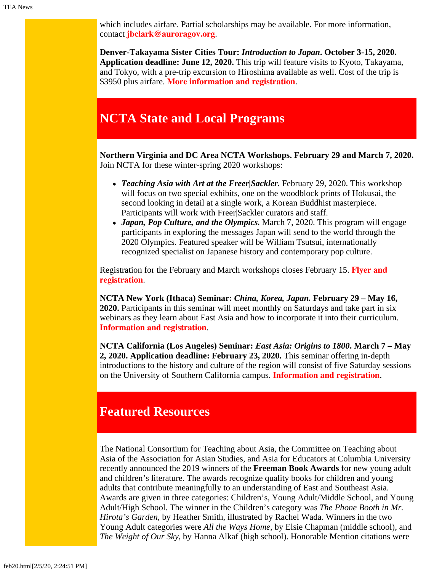which includes airfare. Partial scholarships may be available. For more information, contact **[jbclark@auroragov.org](mailto:jbclark@auroragov.org)**.

**Denver-Takayama Sister Cities Tour:** *Introduction to Japan***. October 3-15, 2020. Application deadline: June 12, 2020.** This trip will feature visits to Kyoto, Takayama, and Tokyo, with a pre-trip excursion to Hiroshima available as well. Cost of the trip is \$3950 plus airfare. **[More information and registration](https://www.denversistercities.org/takayama/2020i2j/)**.

# <span id="page-3-0"></span>**NCTA State and Local Programs**

**Northern Virginia and DC Area NCTA Workshops. February 29 and March 7, 2020.** Join NCTA for these winter-spring 2020 workshops:

- *Teaching Asia with Art at the Freer|Sackler.* February 29, 2020. This workshop will focus on two special exhibits, one on the woodblock prints of Hokusai, the second looking in detail at a single work, a Korean Buddhist masterpiece. Participants will work with Freer|Sackler curators and staff.
- *Japan, Pop Culture, and the Olympics.* March 7, 2020. This program will engage participants in exploring the messages Japan will send to the world through the 2020 Olympics. Featured speaker will be William Tsutsui, internationally recognized specialist on Japanese history and contemporary pop culture.

Registration for the February and March workshops closes February 15. **[Flyer and](https://www.colorado.edu/ptea/sites/default/files/attached-files/nova_flyer_2019_2020.pdf) [registration](https://www.colorado.edu/ptea/sites/default/files/attached-files/nova_flyer_2019_2020.pdf)**.

**NCTA New York (Ithaca) Seminar:** *China, Korea, Japan.* **February 29 – May 16, 2020.** Participants in this seminar will meet monthly on Saturdays and take part in six webinars as they learn about East Asia and how to incorporate it into their curriculum. **[Information and registration](https://www.fivecolleges.edu/fcceas/ncta/ncta_new_york/2020-ithaca-seminar)**.

**NCTA California (Los Angeles) Seminar:** *East Asia: Origins to 1800***. March 7 – May 2, 2020. Application deadline: February 23, 2020.** This seminar offering in-depth introductions to the history and culture of the region will consist of five Saturday sessions on the University of Southern California campus. **[Information and registration](https://china.usc.edu/seminars/east-asia-origins-1800-spring-2020)**.

# <span id="page-3-1"></span>**Featured Resources**

The National Consortium for Teaching about Asia, the Committee on Teaching about Asia of the Association for Asian Studies, and Asia for Educators at Columbia University recently announced the 2019 winners of the **Freeman Book Awards** for new young adult and children's literature. The awards recognize quality books for children and young adults that contribute meaningfully to an understanding of East and Southeast Asia. Awards are given in three categories: Children's, Young Adult/Middle School, and Young Adult/High School. The winner in the Children's category was *The Phone Booth in Mr. Hirota's Garden*, by Heather Smith, illustrated by Rachel Wada. Winners in the two Young Adult categories were *All the Ways Home*, by Elsie Chapman (middle school), and *The Weight of Our Sky*, by Hanna Alkaf (high school). Honorable Mention citations were